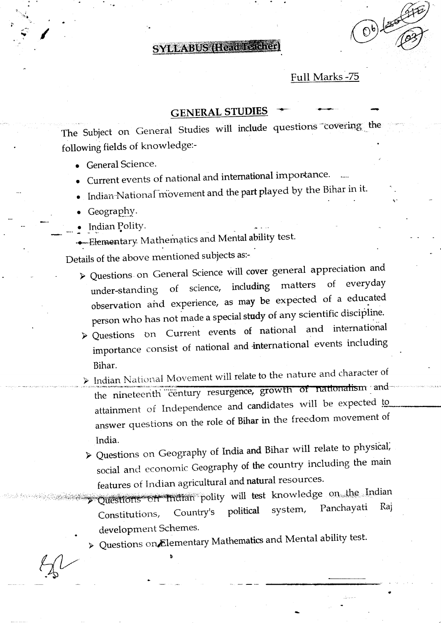**SYLLABUS (Head Teacher)** 

### Full Marks -75

 $0,0)$ 

# **GENERAL STUDIES**

The Subject on General Studies will include questions covering the following fields of knowledge:-

- General Science.
- Current events of national and international importance.
- Indian National movement and the part played by the Bihar in it.
- Geography.
- Indian Polity.
- Elementary Mathematics and Mental ability test.

Details of the above mentioned subjects as:-

- > Questions on General Science will cover general appreciation and everyday  $\sigma f$ matters including  $of$ science, under-standing observation and experience, as may be expected of a educated person who has not made a special study of any scientific discipline.
- > Questions on Current events of national and international importance consist of national and international events including Bihar.
- > Indian National Movement will relate to the nature and character of the nineteenth century resurgence, growth of nationalism and attainment of Independence and candidates will be expected to answer questions on the role of Bihar in the freedom movement of India.
- > Questions on Geography of India and Bihar will relate to physical, social and economic Geography of the country including the main features of Indian agricultural and natural resources.

Questions on indian polity will test knowledge on the Indian Raj Panchayati system, political Country's Constitutions, development Schemes.

> Questions on Elementary Mathematics and Mental ability test.